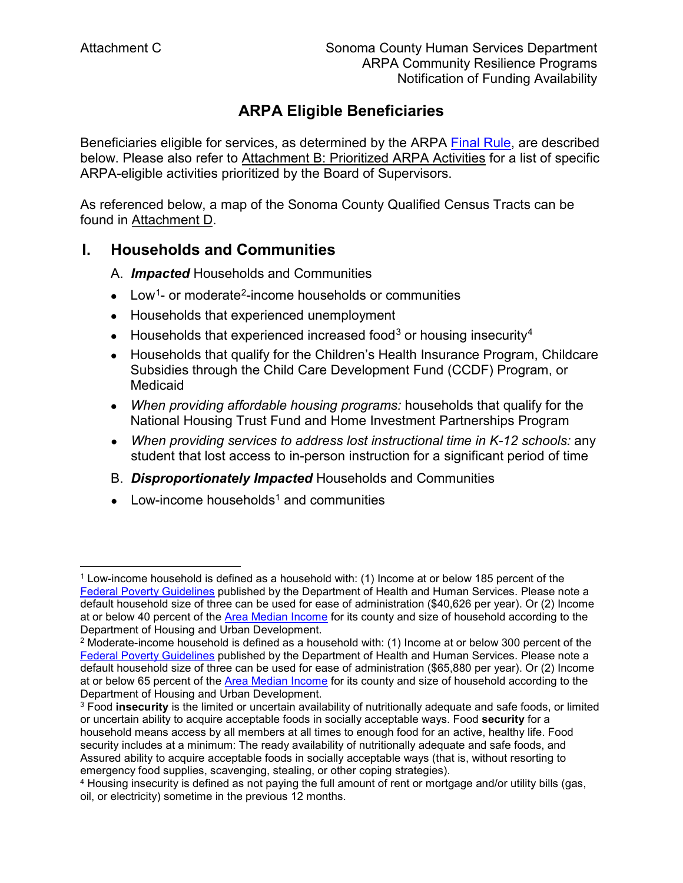# **ARPA Eligible Beneficiaries**

Beneficiaries eligible for services, as determined by the ARPA [Final Rule,](https://home.treasury.gov/system/files/136/SLFRF-Final-Rule.pdf) are described below. Please also refer to Attachment B: Prioritized ARPA Activities for a list of specific ARPA-eligible activities prioritized by the Board of Supervisors.

As referenced below, a map of the Sonoma County Qualified Census Tracts can be found in Attachment D.

### **I. Households and Communities**

- A. *Impacted* Households and Communities
- Low<sup>1</sup>- or moderate<sup>[2](#page-0-0)</sup>-income households or communities
- Households that experienced unemployment
- $\bullet$  Households that experienced increased food<sup>[3](#page-0-1)</sup> or housing insecurity<sup>[4](#page-0-2)</sup>
- Households that qualify for the Children's Health Insurance Program, Childcare Subsidies through the Child Care Development Fund (CCDF) Program, or Medicaid
- *When providing affordable housing programs:* households that qualify for the National Housing Trust Fund and Home Investment Partnerships Program
- *When providing services to address lost instructional time in K-12 schools:* any student that lost access to in-person instruction for a significant period of time
- B. *Disproportionately Impacted* Households and Communities
- $\bullet$  Low-income households<sup>1</sup> and communities

 $\overline{a}$ <sup>1</sup> Low-income household is defined as a household with: (1) Income at or below 185 percent of the [Federal Poverty Guidelines](https://aspe.hhs.gov/topics/poverty-economic-mobility/poverty-guidelines) published by the Department of Health and Human Services. Please note a default household size of three can be used for ease of administration (\$40,626 per year). Or (2) Income at or below 40 percent of the [Area Median Income](https://www.huduser.gov/portal/datasets/il/il21/Section8-FY21.xlsx) for its county and size of household according to the Department of Housing and Urban Development.<br><sup>2</sup> Moderate-income household is defined as a household with: (1) Income at or below 300 percent of the

<span id="page-0-0"></span>[Federal Poverty Guidelines](https://aspe.hhs.gov/topics/poverty-economic-mobility/poverty-guidelines) published by the Department of Health and Human Services. Please note a default household size of three can be used for ease of administration (\$65,880 per year). Or (2) Income at or below 65 percent of the [Area Median Income](https://www.huduser.gov/portal/datasets/il/il21/Section8-FY21.xlsx) for its county and size of household according to the Department of Housing and Urban Development.

<span id="page-0-1"></span><sup>3</sup> Food **insecurity** is the limited or uncertain availability of nutritionally adequate and safe foods, or limited or uncertain ability to acquire acceptable foods in socially acceptable ways. Food **security** for a household means access by all members at all times to enough food for an active, healthy life. Food security includes at a minimum: The ready availability of nutritionally adequate and safe foods, and Assured ability to acquire acceptable foods in socially acceptable ways (that is, without resorting to emergency food supplies, scavenging, stealing, or other coping strategies).

<span id="page-0-2"></span><sup>4</sup> Housing insecurity is defined as not paying the full amount of rent or mortgage and/or utility bills (gas, oil, or electricity) sometime in the previous 12 months.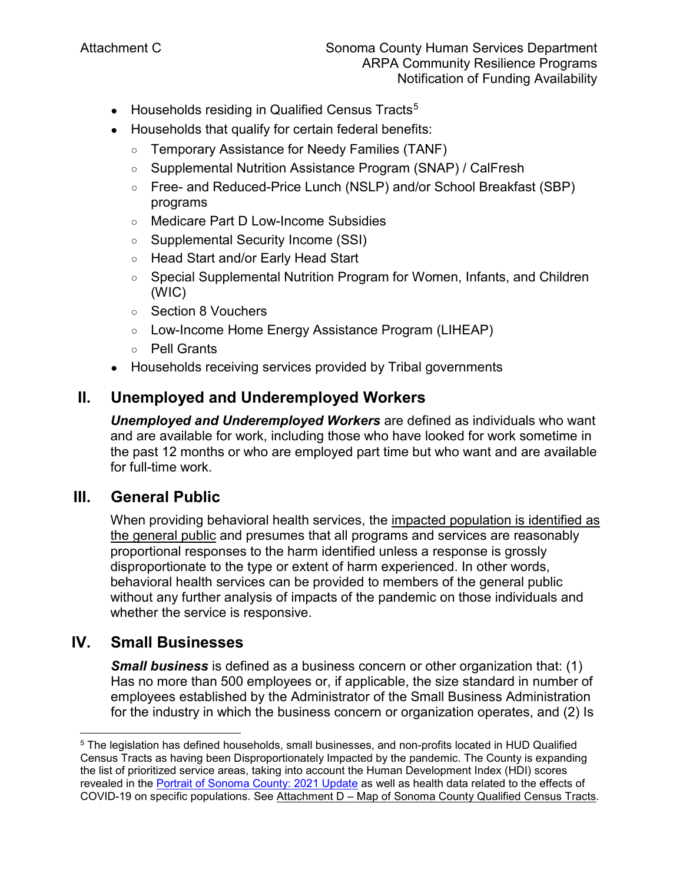- Households residing in Qualified Census Tracts<sup>[5](#page-1-0)</sup>
- Households that qualify for certain federal benefits:
	- Temporary Assistance for Needy Families (TANF)
	- Supplemental Nutrition Assistance Program (SNAP) / CalFresh
	- Free- and Reduced-Price Lunch (NSLP) and/or School Breakfast (SBP) programs
	- Medicare Part D Low-Income Subsidies
	- Supplemental Security Income (SSI)
	- Head Start and/or Early Head Start
	- Special Supplemental Nutrition Program for Women, Infants, and Children (WIC)
	- Section 8 Vouchers
	- Low-Income Home Energy Assistance Program (LIHEAP)
	- Pell Grants
- Households receiving services provided by Tribal governments

# **II. Unemployed and Underemployed Workers**

*Unemployed and Underemployed Workers* are defined as individuals who want and are available for work, including those who have looked for work sometime in the past 12 months or who are employed part time but who want and are available for full-time work.

## **III. General Public**

When providing behavioral health services, the impacted population is identified as the general public and presumes that all programs and services are reasonably proportional responses to the harm identified unless a response is grossly disproportionate to the type or extent of harm experienced. In other words, behavioral health services can be provided to members of the general public without any further analysis of impacts of the pandemic on those individuals and whether the service is responsive.

## **IV. Small Businesses**

 $\overline{a}$ 

*Small business* is defined as a business concern or other organization that: (1) Has no more than 500 employees or, if applicable, the size standard in number of employees established by the Administrator of the Small Business Administration for the industry in which the business concern or organization operates, and (2) Is

<span id="page-1-0"></span><sup>5</sup> The legislation has defined households, small businesses, and non-profits located in HUD Qualified Census Tracts as having been Disproportionately Impacted by the pandemic. The County is expanding the list of prioritized service areas, taking into account the Human Development Index (HDI) scores revealed in the [Portrait of Sonoma County: 2021 Update](http://upstreaminvestments.org/Impact/Portrait-of-Sonoma-County/) as well as health data related to the effects of COVID-19 on specific populations. See Attachment D – Map of Sonoma County Qualified Census Tracts.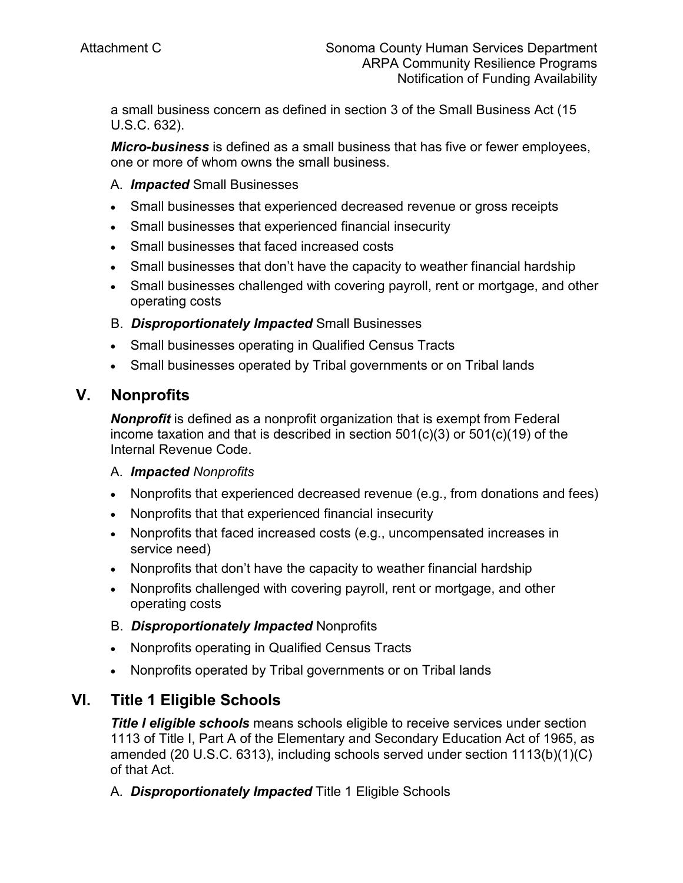a small business concern as defined in section 3 of the Small Business Act (15 U.S.C. 632).

*Micro-business* is defined as a small business that has five or fewer employees, one or more of whom owns the small business.

#### A. *Impacted* Small Businesses

- Small businesses that experienced decreased revenue or gross receipts
- Small businesses that experienced financial insecurity
- Small businesses that faced increased costs
- Small businesses that don't have the capacity to weather financial hardship
- Small businesses challenged with covering payroll, rent or mortgage, and other operating costs

### B. *Disproportionately Impacted* Small Businesses

- Small businesses operating in Qualified Census Tracts
- Small businesses operated by Tribal governments or on Tribal lands

### **V. Nonprofits**

*Nonprofit* is defined as a nonprofit organization that is exempt from Federal income taxation and that is described in section 501(c)(3) or 501(c)(19) of the Internal Revenue Code.

#### A. *Impacted Nonprofits*

- Nonprofits that experienced decreased revenue (e.g., from donations and fees)
- Nonprofits that that experienced financial insecurity
- Nonprofits that faced increased costs (e.g., uncompensated increases in service need)
- Nonprofits that don't have the capacity to weather financial hardship
- Nonprofits challenged with covering payroll, rent or mortgage, and other operating costs

### B. *Disproportionately Impacted* Nonprofits

- Nonprofits operating in Qualified Census Tracts
- Nonprofits operated by Tribal governments or on Tribal lands

## **VI. Title 1 Eligible Schools**

*Title I eligible schools* means schools eligible to receive services under section 1113 of Title I, Part A of the Elementary and Secondary Education Act of 1965, as amended (20 U.S.C. 6313), including schools served under section 1113(b)(1)(C) of that Act.

A. *Disproportionately Impacted* Title 1 Eligible Schools